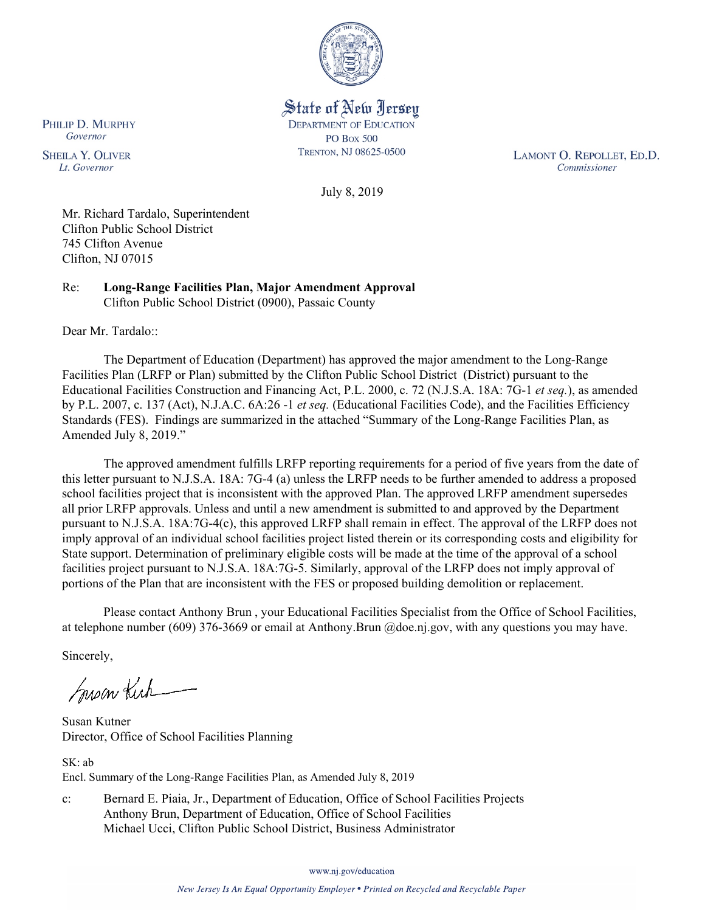

State of New Jersey **DEPARTMENT OF EDUCATION PO Box 500** TRENTON, NJ 08625-0500

LAMONT O. REPOLLET, ED.D. Commissioner

July 8, 2019

Mr. Richard Tardalo, Superintendent Clifton Public School District 745 Clifton Avenue Clifton, NJ 07015

Re: **Long-Range Facilities Plan, Major Amendment Approval** Clifton Public School District (0900), Passaic County

Dear Mr. Tardalo::

The Department of Education (Department) has approved the major amendment to the Long-Range Facilities Plan (LRFP or Plan) submitted by the Clifton Public School District (District) pursuant to the Educational Facilities Construction and Financing Act, P.L. 2000, c. 72 (N.J.S.A. 18A: 7G-1 *et seq.*), as amended by P.L. 2007, c. 137 (Act), N.J.A.C. 6A:26 -1 *et seq.* (Educational Facilities Code), and the Facilities Efficiency Standards (FES). Findings are summarized in the attached "Summary of the Long-Range Facilities Plan, as Amended July 8, 2019."

The approved amendment fulfills LRFP reporting requirements for a period of five years from the date of this letter pursuant to N.J.S.A. 18A: 7G-4 (a) unless the LRFP needs to be further amended to address a proposed school facilities project that is inconsistent with the approved Plan. The approved LRFP amendment supersedes all prior LRFP approvals. Unless and until a new amendment is submitted to and approved by the Department pursuant to N.J.S.A. 18A:7G-4(c), this approved LRFP shall remain in effect. The approval of the LRFP does not imply approval of an individual school facilities project listed therein or its corresponding costs and eligibility for State support. Determination of preliminary eligible costs will be made at the time of the approval of a school facilities project pursuant to N.J.S.A. 18A:7G-5. Similarly, approval of the LRFP does not imply approval of portions of the Plan that are inconsistent with the FES or proposed building demolition or replacement.

Please contact Anthony Brun , your Educational Facilities Specialist from the Office of School Facilities, at telephone number (609) 376-3669 or email at Anthony.Brun @doe.nj.gov, with any questions you may have.

Sincerely,

Susan Kich

Susan Kutner Director, Office of School Facilities Planning

SK: ab Encl. Summary of the Long-Range Facilities Plan, as Amended July 8, 2019

c: Bernard E. Piaia, Jr., Department of Education, Office of School Facilities Projects Anthony Brun, Department of Education, Office of School Facilities Michael Ucci, Clifton Public School District, Business Administrator

www.nj.gov/education

PHILIP D. MURPHY Governor

**SHEILA Y. OLIVER** Lt. Governor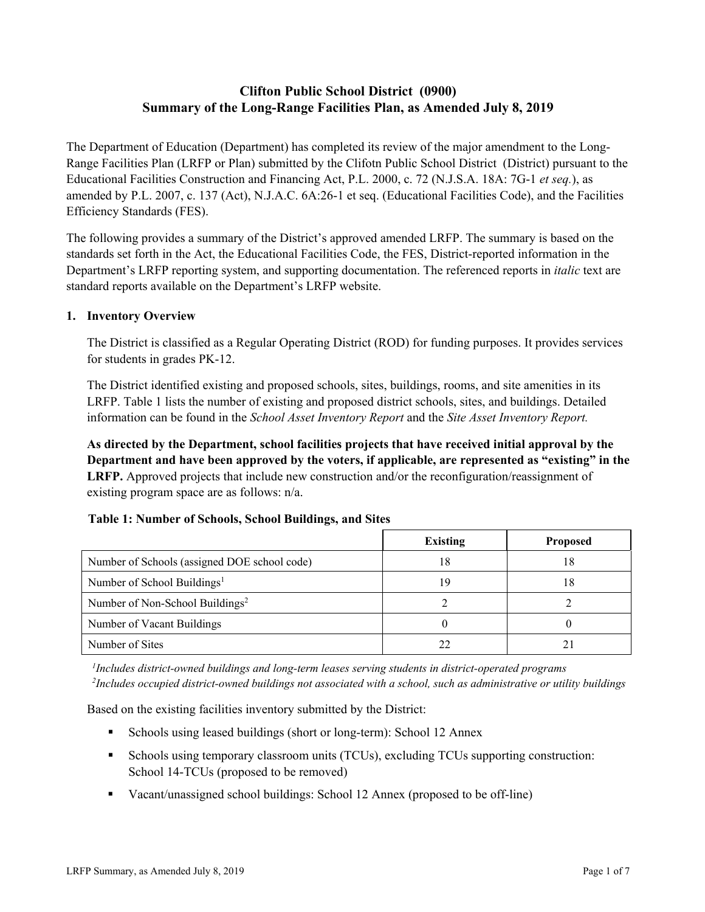# **Clifton Public School District (0900) Summary of the Long-Range Facilities Plan, as Amended July 8, 2019**

The Department of Education (Department) has completed its review of the major amendment to the Long-Range Facilities Plan (LRFP or Plan) submitted by the Clifotn Public School District (District) pursuant to the Educational Facilities Construction and Financing Act, P.L. 2000, c. 72 (N.J.S.A. 18A: 7G-1 *et seq.*), as amended by P.L. 2007, c. 137 (Act), N.J.A.C. 6A:26-1 et seq. (Educational Facilities Code), and the Facilities Efficiency Standards (FES).

The following provides a summary of the District's approved amended LRFP. The summary is based on the standards set forth in the Act, the Educational Facilities Code, the FES, District-reported information in the Department's LRFP reporting system, and supporting documentation. The referenced reports in *italic* text are standard reports available on the Department's LRFP website.

# **1. Inventory Overview**

The District is classified as a Regular Operating District (ROD) for funding purposes. It provides services for students in grades PK-12.

The District identified existing and proposed schools, sites, buildings, rooms, and site amenities in its LRFP. Table 1 lists the number of existing and proposed district schools, sites, and buildings. Detailed information can be found in the *School Asset Inventory Report* and the *Site Asset Inventory Report.*

**As directed by the Department, school facilities projects that have received initial approval by the Department and have been approved by the voters, if applicable, are represented as "existing" in the LRFP.** Approved projects that include new construction and/or the reconfiguration/reassignment of existing program space are as follows: n/a.

# **Table 1: Number of Schools, School Buildings, and Sites**

|                                              | <b>Existing</b> | <b>Proposed</b> |
|----------------------------------------------|-----------------|-----------------|
| Number of Schools (assigned DOE school code) | 18              | 18              |
| Number of School Buildings <sup>1</sup>      | 19              | 18              |
| Number of Non-School Buildings <sup>2</sup>  |                 |                 |
| Number of Vacant Buildings                   |                 |                 |
| Number of Sites                              |                 |                 |

*1 Includes district-owned buildings and long-term leases serving students in district-operated programs 2 Includes occupied district-owned buildings not associated with a school, such as administrative or utility buildings*

Based on the existing facilities inventory submitted by the District:

- Schools using leased buildings (short or long-term): School 12 Annex
- Schools using temporary classroom units (TCUs), excluding TCUs supporting construction: School 14-TCUs (proposed to be removed)
- Vacant/unassigned school buildings: School 12 Annex (proposed to be off-line)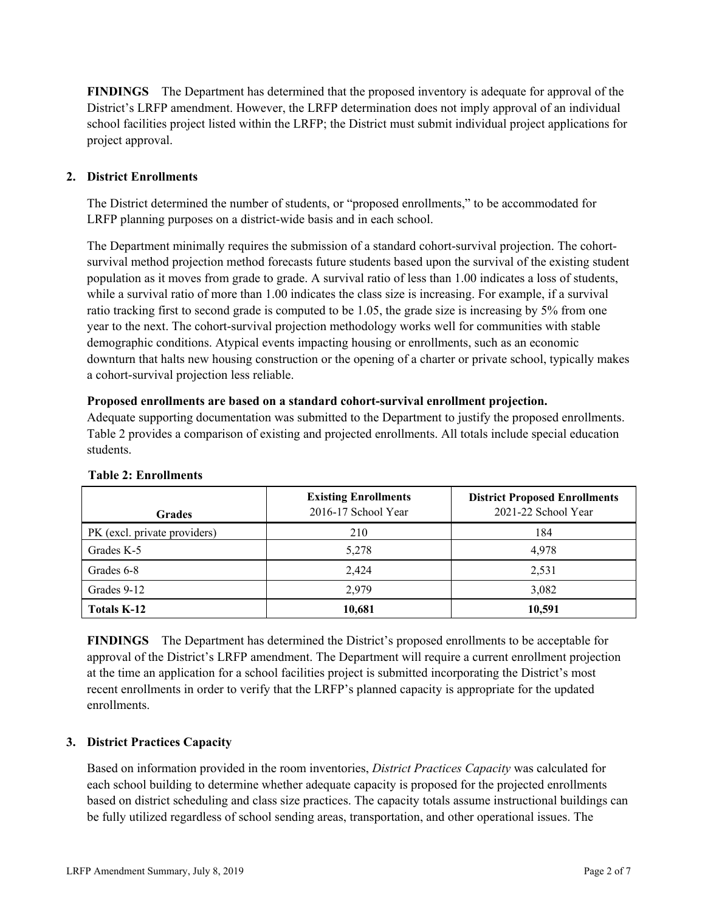**FINDINGS** The Department has determined that the proposed inventory is adequate for approval of the District's LRFP amendment. However, the LRFP determination does not imply approval of an individual school facilities project listed within the LRFP; the District must submit individual project applications for project approval.

### **2. District Enrollments**

The District determined the number of students, or "proposed enrollments," to be accommodated for LRFP planning purposes on a district-wide basis and in each school.

The Department minimally requires the submission of a standard cohort-survival projection. The cohortsurvival method projection method forecasts future students based upon the survival of the existing student population as it moves from grade to grade. A survival ratio of less than 1.00 indicates a loss of students, while a survival ratio of more than 1.00 indicates the class size is increasing. For example, if a survival ratio tracking first to second grade is computed to be 1.05, the grade size is increasing by 5% from one year to the next. The cohort-survival projection methodology works well for communities with stable demographic conditions. Atypical events impacting housing or enrollments, such as an economic downturn that halts new housing construction or the opening of a charter or private school, typically makes a cohort-survival projection less reliable.

#### **Proposed enrollments are based on a standard cohort-survival enrollment projection.**

Adequate supporting documentation was submitted to the Department to justify the proposed enrollments. Table 2 provides a comparison of existing and projected enrollments. All totals include special education students.

| <b>Grades</b>                | <b>Existing Enrollments</b><br>2016-17 School Year | <b>District Proposed Enrollments</b><br>2021-22 School Year |
|------------------------------|----------------------------------------------------|-------------------------------------------------------------|
| PK (excl. private providers) | 210                                                | 184                                                         |
| Grades K-5                   | 5,278                                              | 4,978                                                       |
| Grades 6-8                   | 2.424                                              | 2,531                                                       |
| Grades 9-12                  | 2.979                                              | 3,082                                                       |
| Totals K-12                  | 10,681                                             | 10,591                                                      |

#### **Table 2: Enrollments**

**FINDINGS** The Department has determined the District's proposed enrollments to be acceptable for approval of the District's LRFP amendment. The Department will require a current enrollment projection at the time an application for a school facilities project is submitted incorporating the District's most recent enrollments in order to verify that the LRFP's planned capacity is appropriate for the updated enrollments.

# **3. District Practices Capacity**

Based on information provided in the room inventories, *District Practices Capacity* was calculated for each school building to determine whether adequate capacity is proposed for the projected enrollments based on district scheduling and class size practices. The capacity totals assume instructional buildings can be fully utilized regardless of school sending areas, transportation, and other operational issues. The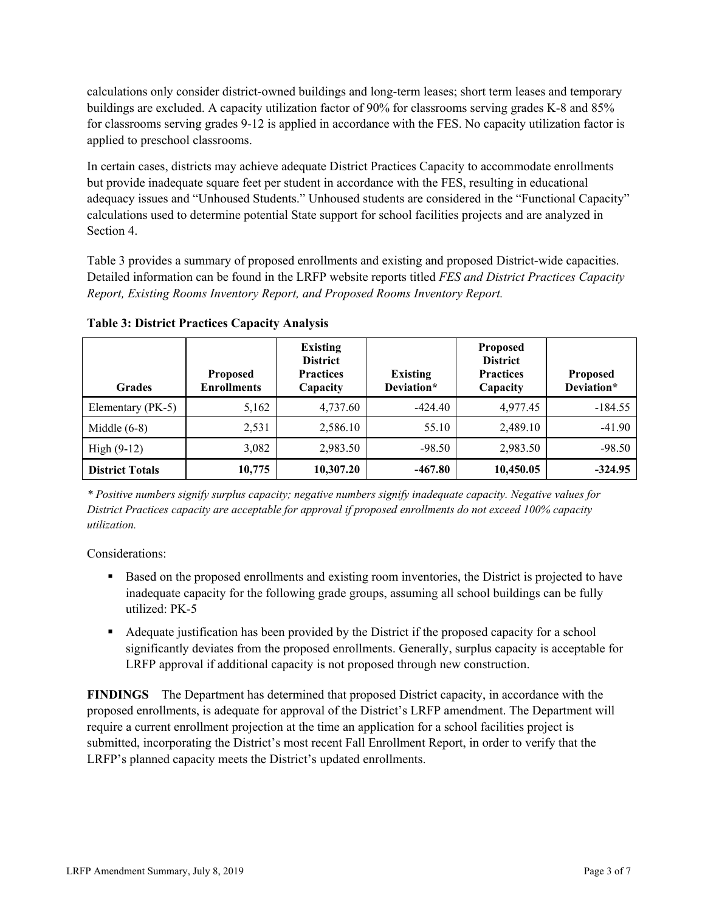calculations only consider district-owned buildings and long-term leases; short term leases and temporary buildings are excluded. A capacity utilization factor of 90% for classrooms serving grades K-8 and 85% for classrooms serving grades 9-12 is applied in accordance with the FES. No capacity utilization factor is applied to preschool classrooms.

In certain cases, districts may achieve adequate District Practices Capacity to accommodate enrollments but provide inadequate square feet per student in accordance with the FES, resulting in educational adequacy issues and "Unhoused Students." Unhoused students are considered in the "Functional Capacity" calculations used to determine potential State support for school facilities projects and are analyzed in Section 4.

Table 3 provides a summary of proposed enrollments and existing and proposed District-wide capacities. Detailed information can be found in the LRFP website reports titled *FES and District Practices Capacity Report, Existing Rooms Inventory Report, and Proposed Rooms Inventory Report.*

| <b>Grades</b>          | <b>Proposed</b><br><b>Enrollments</b> | <b>Existing</b><br><b>District</b><br><b>Practices</b><br>Capacity | <b>Existing</b><br>Deviation* | <b>Proposed</b><br><b>District</b><br><b>Practices</b><br>Capacity | <b>Proposed</b><br>Deviation* |
|------------------------|---------------------------------------|--------------------------------------------------------------------|-------------------------------|--------------------------------------------------------------------|-------------------------------|
| Elementary (PK-5)      | 5,162                                 | 4,737.60                                                           | $-424.40$                     | 4,977.45                                                           | $-184.55$                     |
| Middle $(6-8)$         | 2,531                                 | 2,586.10                                                           | 55.10                         | 2,489.10                                                           | $-41.90$                      |
| High $(9-12)$          | 3,082                                 | 2,983.50                                                           | $-98.50$                      | 2,983.50                                                           | $-98.50$                      |
| <b>District Totals</b> | 10,775                                | 10,307.20                                                          | $-467.80$                     | 10,450.05                                                          | $-324.95$                     |

**Table 3: District Practices Capacity Analysis**

*\* Positive numbers signify surplus capacity; negative numbers signify inadequate capacity. Negative values for District Practices capacity are acceptable for approval if proposed enrollments do not exceed 100% capacity utilization.*

Considerations:

- Based on the proposed enrollments and existing room inventories, the District is projected to have inadequate capacity for the following grade groups, assuming all school buildings can be fully utilized: PK-5
- Adequate justification has been provided by the District if the proposed capacity for a school significantly deviates from the proposed enrollments. Generally, surplus capacity is acceptable for LRFP approval if additional capacity is not proposed through new construction.

**FINDINGS**The Department has determined that proposed District capacity, in accordance with the proposed enrollments, is adequate for approval of the District's LRFP amendment. The Department will require a current enrollment projection at the time an application for a school facilities project is submitted, incorporating the District's most recent Fall Enrollment Report, in order to verify that the LRFP's planned capacity meets the District's updated enrollments.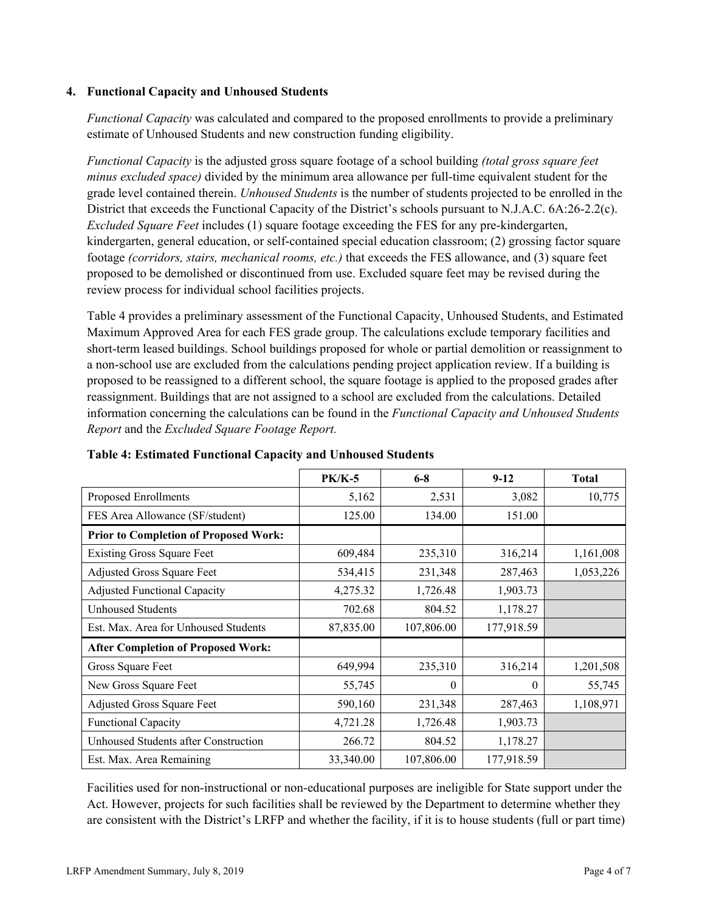#### **4. Functional Capacity and Unhoused Students**

*Functional Capacity* was calculated and compared to the proposed enrollments to provide a preliminary estimate of Unhoused Students and new construction funding eligibility.

*Functional Capacity* is the adjusted gross square footage of a school building *(total gross square feet minus excluded space)* divided by the minimum area allowance per full-time equivalent student for the grade level contained therein. *Unhoused Students* is the number of students projected to be enrolled in the District that exceeds the Functional Capacity of the District's schools pursuant to N.J.A.C. 6A:26-2.2(c). *Excluded Square Feet* includes (1) square footage exceeding the FES for any pre-kindergarten, kindergarten, general education, or self-contained special education classroom; (2) grossing factor square footage *(corridors, stairs, mechanical rooms, etc.)* that exceeds the FES allowance, and (3) square feet proposed to be demolished or discontinued from use. Excluded square feet may be revised during the review process for individual school facilities projects.

Table 4 provides a preliminary assessment of the Functional Capacity, Unhoused Students, and Estimated Maximum Approved Area for each FES grade group. The calculations exclude temporary facilities and short-term leased buildings. School buildings proposed for whole or partial demolition or reassignment to a non-school use are excluded from the calculations pending project application review. If a building is proposed to be reassigned to a different school, the square footage is applied to the proposed grades after reassignment. Buildings that are not assigned to a school are excluded from the calculations. Detailed information concerning the calculations can be found in the *Functional Capacity and Unhoused Students Report* and the *Excluded Square Footage Report.*

|                                              | <b>PK/K-5</b> | $6 - 8$    | $9 - 12$   | <b>Total</b> |
|----------------------------------------------|---------------|------------|------------|--------------|
| Proposed Enrollments                         | 5,162         | 2,531      | 3,082      | 10,775       |
| FES Area Allowance (SF/student)              | 125.00        | 134.00     | 151.00     |              |
| <b>Prior to Completion of Proposed Work:</b> |               |            |            |              |
| <b>Existing Gross Square Feet</b>            | 609,484       | 235,310    | 316,214    | 1,161,008    |
| Adjusted Gross Square Feet                   | 534,415       | 231,348    | 287,463    | 1,053,226    |
| <b>Adjusted Functional Capacity</b>          | 4,275.32      | 1,726.48   | 1,903.73   |              |
| <b>Unhoused Students</b>                     | 702.68        | 804.52     | 1,178.27   |              |
| Est. Max. Area for Unhoused Students         | 87,835.00     | 107,806.00 | 177,918.59 |              |
| <b>After Completion of Proposed Work:</b>    |               |            |            |              |
| Gross Square Feet                            | 649,994       | 235,310    | 316,214    | 1,201,508    |
| New Gross Square Feet                        | 55,745        | 0          | $\Omega$   | 55,745       |
| Adjusted Gross Square Feet                   | 590,160       | 231,348    | 287,463    | 1,108,971    |
| <b>Functional Capacity</b>                   | 4,721.28      | 1,726.48   | 1,903.73   |              |
| Unhoused Students after Construction         | 266.72        | 804.52     | 1,178.27   |              |
| Est. Max. Area Remaining                     | 33,340.00     | 107,806.00 | 177,918.59 |              |

**Table 4: Estimated Functional Capacity and Unhoused Students** 

Facilities used for non-instructional or non-educational purposes are ineligible for State support under the Act. However, projects for such facilities shall be reviewed by the Department to determine whether they are consistent with the District's LRFP and whether the facility, if it is to house students (full or part time)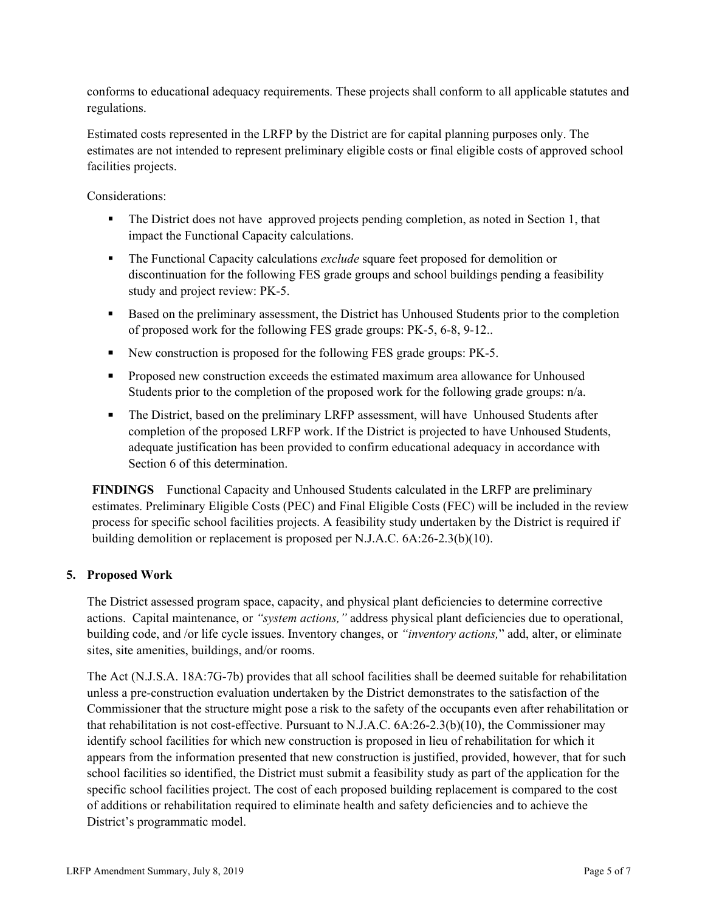conforms to educational adequacy requirements. These projects shall conform to all applicable statutes and regulations.

Estimated costs represented in the LRFP by the District are for capital planning purposes only. The estimates are not intended to represent preliminary eligible costs or final eligible costs of approved school facilities projects.

Considerations:

- The District does not have approved projects pending completion, as noted in Section 1, that impact the Functional Capacity calculations.
- The Functional Capacity calculations *exclude* square feet proposed for demolition or discontinuation for the following FES grade groups and school buildings pending a feasibility study and project review: PK-5.
- Based on the preliminary assessment, the District has Unhoused Students prior to the completion of proposed work for the following FES grade groups: PK-5, 6-8, 9-12..
- New construction is proposed for the following FES grade groups: PK-5.
- **Proposed new construction exceeds the estimated maximum area allowance for Unhoused** Students prior to the completion of the proposed work for the following grade groups: n/a.
- The District, based on the preliminary LRFP assessment, will have Unhoused Students after completion of the proposed LRFP work. If the District is projected to have Unhoused Students, adequate justification has been provided to confirm educational adequacy in accordance with Section 6 of this determination.

**FINDINGS** Functional Capacity and Unhoused Students calculated in the LRFP are preliminary estimates. Preliminary Eligible Costs (PEC) and Final Eligible Costs (FEC) will be included in the review process for specific school facilities projects. A feasibility study undertaken by the District is required if building demolition or replacement is proposed per N.J.A.C. 6A:26-2.3(b)(10).

# **5. Proposed Work**

The District assessed program space, capacity, and physical plant deficiencies to determine corrective actions. Capital maintenance, or *"system actions,"* address physical plant deficiencies due to operational, building code, and /or life cycle issues. Inventory changes, or *"inventory actions,*" add, alter, or eliminate sites, site amenities, buildings, and/or rooms.

The Act (N.J.S.A. 18A:7G-7b) provides that all school facilities shall be deemed suitable for rehabilitation unless a pre-construction evaluation undertaken by the District demonstrates to the satisfaction of the Commissioner that the structure might pose a risk to the safety of the occupants even after rehabilitation or that rehabilitation is not cost-effective. Pursuant to N.J.A.C. 6A:26-2.3(b)(10), the Commissioner may identify school facilities for which new construction is proposed in lieu of rehabilitation for which it appears from the information presented that new construction is justified, provided, however, that for such school facilities so identified, the District must submit a feasibility study as part of the application for the specific school facilities project. The cost of each proposed building replacement is compared to the cost of additions or rehabilitation required to eliminate health and safety deficiencies and to achieve the District's programmatic model.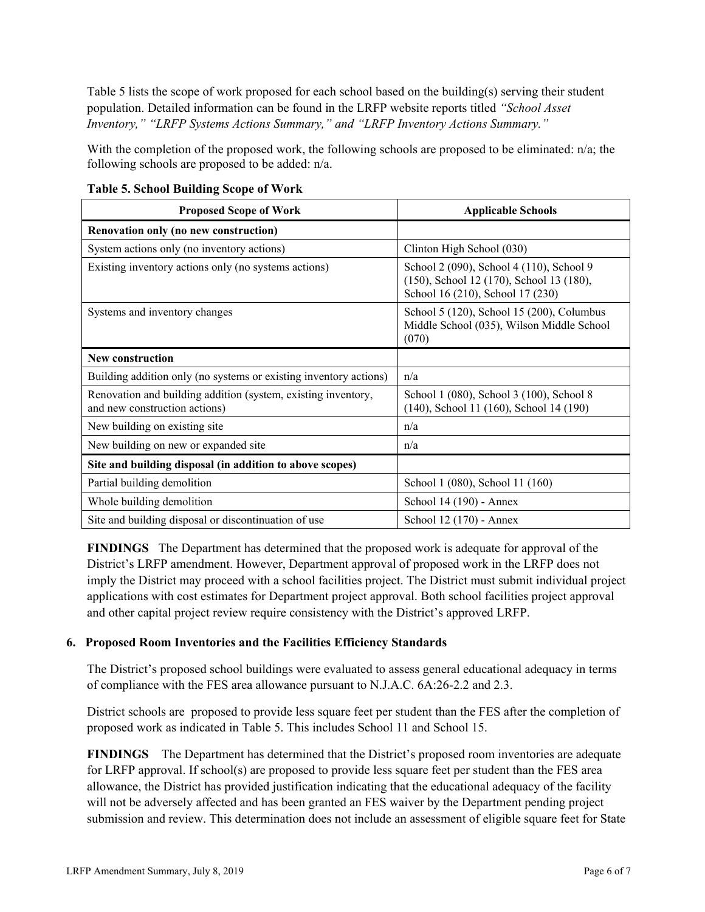Table 5 lists the scope of work proposed for each school based on the building(s) serving their student population. Detailed information can be found in the LRFP website reports titled *"School Asset Inventory," "LRFP Systems Actions Summary," and "LRFP Inventory Actions Summary."*

With the completion of the proposed work, the following schools are proposed to be eliminated: n/a; the following schools are proposed to be added: n/a.

| <b>Proposed Scope of Work</b>                                                                  | <b>Applicable Schools</b>                                                                                                |
|------------------------------------------------------------------------------------------------|--------------------------------------------------------------------------------------------------------------------------|
| Renovation only (no new construction)                                                          |                                                                                                                          |
| System actions only (no inventory actions)                                                     | Clinton High School (030)                                                                                                |
| Existing inventory actions only (no systems actions)                                           | School 2 (090), School 4 (110), School 9<br>(150), School 12 (170), School 13 (180),<br>School 16 (210), School 17 (230) |
| Systems and inventory changes                                                                  | School 5 (120), School 15 (200), Columbus<br>Middle School (035), Wilson Middle School<br>(070)                          |
| <b>New construction</b>                                                                        |                                                                                                                          |
| Building addition only (no systems or existing inventory actions)                              | n/a                                                                                                                      |
| Renovation and building addition (system, existing inventory,<br>and new construction actions) | School 1 (080), School 3 (100), School 8<br>(140), School 11 (160), School 14 (190)                                      |
| New building on existing site                                                                  | n/a                                                                                                                      |
| New building on new or expanded site                                                           | n/a                                                                                                                      |
| Site and building disposal (in addition to above scopes)                                       |                                                                                                                          |
| Partial building demolition                                                                    | School 1 (080), School 11 (160)                                                                                          |
| Whole building demolition                                                                      | School 14 (190) - Annex                                                                                                  |
| Site and building disposal or discontinuation of use                                           | School 12 (170) - Annex                                                                                                  |

**Table 5. School Building Scope of Work**

**FINDINGS** The Department has determined that the proposed work is adequate for approval of the District's LRFP amendment. However, Department approval of proposed work in the LRFP does not imply the District may proceed with a school facilities project. The District must submit individual project applications with cost estimates for Department project approval. Both school facilities project approval and other capital project review require consistency with the District's approved LRFP.

#### **6. Proposed Room Inventories and the Facilities Efficiency Standards**

The District's proposed school buildings were evaluated to assess general educational adequacy in terms of compliance with the FES area allowance pursuant to N.J.A.C. 6A:26-2.2 and 2.3.

District schools are proposed to provide less square feet per student than the FES after the completion of proposed work as indicated in Table 5. This includes School 11 and School 15.

**FINDINGS** The Department has determined that the District's proposed room inventories are adequate for LRFP approval. If school(s) are proposed to provide less square feet per student than the FES area allowance, the District has provided justification indicating that the educational adequacy of the facility will not be adversely affected and has been granted an FES waiver by the Department pending project submission and review. This determination does not include an assessment of eligible square feet for State